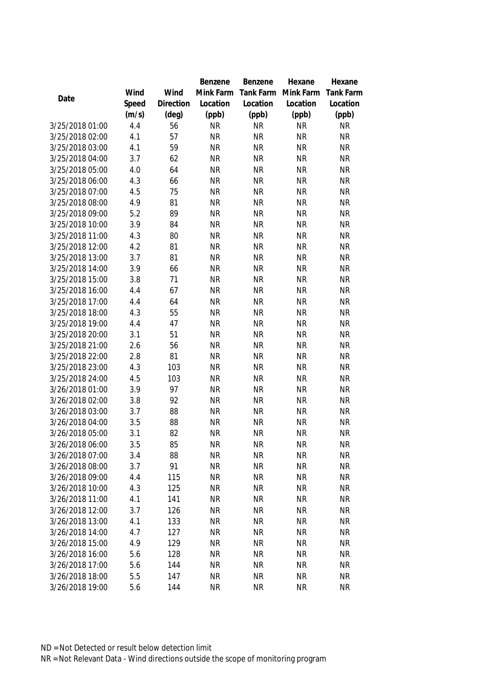|                 |       |           | Benzene   | Benzene   | Hexane    | Hexane           |
|-----------------|-------|-----------|-----------|-----------|-----------|------------------|
|                 | Wind  | Wind      | Mink Farm | Tank Farm | Mink Farm | <b>Tank Farm</b> |
| Date            | Speed | Direction | Location  | Location  | Location  | Location         |
|                 | (m/s) | (deg)     | (ppb)     | (ppb)     | (ppb)     | (ppb)            |
| 3/25/2018 01:00 | 4.4   | 56        | <b>NR</b> | <b>NR</b> | <b>NR</b> | <b>NR</b>        |
| 3/25/2018 02:00 | 4.1   | 57        | <b>NR</b> | <b>NR</b> | <b>NR</b> | <b>NR</b>        |
| 3/25/2018 03:00 | 4.1   | 59        | <b>NR</b> | <b>NR</b> | <b>NR</b> | <b>NR</b>        |
| 3/25/2018 04:00 | 3.7   | 62        | <b>NR</b> | <b>NR</b> | <b>NR</b> | <b>NR</b>        |
| 3/25/2018 05:00 | 4.0   | 64        | <b>NR</b> | <b>NR</b> | <b>NR</b> | <b>NR</b>        |
| 3/25/2018 06:00 | 4.3   | 66        | <b>NR</b> | <b>NR</b> | <b>NR</b> | <b>NR</b>        |
| 3/25/2018 07:00 | 4.5   | 75        | <b>NR</b> | <b>NR</b> | <b>NR</b> | <b>NR</b>        |
| 3/25/2018 08:00 | 4.9   | 81        | <b>NR</b> | <b>NR</b> | <b>NR</b> | <b>NR</b>        |
| 3/25/2018 09:00 | 5.2   | 89        | <b>NR</b> | <b>NR</b> | <b>NR</b> | <b>NR</b>        |
| 3/25/2018 10:00 | 3.9   | 84        | <b>NR</b> | <b>NR</b> | <b>NR</b> | <b>NR</b>        |
| 3/25/2018 11:00 | 4.3   | 80        | <b>NR</b> | <b>NR</b> | <b>NR</b> | <b>NR</b>        |
| 3/25/2018 12:00 | 4.2   | 81        | <b>NR</b> | <b>NR</b> | <b>NR</b> | <b>NR</b>        |
| 3/25/2018 13:00 | 3.7   | 81        | <b>NR</b> | <b>NR</b> | <b>NR</b> | <b>NR</b>        |
| 3/25/2018 14:00 | 3.9   | 66        | <b>NR</b> | <b>NR</b> | <b>NR</b> | <b>NR</b>        |
| 3/25/2018 15:00 | 3.8   | 71        | <b>NR</b> | <b>NR</b> | <b>NR</b> | <b>NR</b>        |
| 3/25/2018 16:00 | 4.4   | 67        | <b>NR</b> | <b>NR</b> | <b>NR</b> | <b>NR</b>        |
| 3/25/2018 17:00 | 4.4   | 64        | <b>NR</b> | <b>NR</b> | <b>NR</b> | <b>NR</b>        |
| 3/25/2018 18:00 | 4.3   | 55        | <b>NR</b> | <b>NR</b> | <b>NR</b> | <b>NR</b>        |
| 3/25/2018 19:00 | 4.4   | 47        | <b>NR</b> | <b>NR</b> | <b>NR</b> | <b>NR</b>        |
| 3/25/2018 20:00 | 3.1   | 51        | <b>NR</b> | <b>NR</b> | <b>NR</b> | <b>NR</b>        |
| 3/25/2018 21:00 | 2.6   | 56        | <b>NR</b> | <b>NR</b> | <b>NR</b> | <b>NR</b>        |
| 3/25/2018 22:00 | 2.8   | 81        | <b>NR</b> | <b>NR</b> | <b>NR</b> | <b>NR</b>        |
| 3/25/2018 23:00 | 4.3   | 103       | <b>NR</b> | <b>NR</b> | <b>NR</b> | <b>NR</b>        |
| 3/25/2018 24:00 | 4.5   | 103       | <b>NR</b> | <b>NR</b> | <b>NR</b> | <b>NR</b>        |
| 3/26/2018 01:00 | 3.9   | 97        | <b>NR</b> | <b>NR</b> | <b>NR</b> | <b>NR</b>        |
| 3/26/2018 02:00 | 3.8   | 92        | <b>NR</b> | <b>NR</b> | <b>NR</b> | <b>NR</b>        |
| 3/26/2018 03:00 | 3.7   | 88        | <b>NR</b> | <b>NR</b> | <b>NR</b> | <b>NR</b>        |
| 3/26/2018 04:00 | 3.5   | 88        | <b>NR</b> | <b>NR</b> | <b>NR</b> | <b>NR</b>        |
| 3/26/2018 05:00 | 3.1   | 82        | <b>NR</b> | <b>NR</b> | <b>NR</b> | <b>NR</b>        |
| 3/26/2018 06:00 | 3.5   | 85        | <b>NR</b> | <b>NR</b> | <b>NR</b> | <b>NR</b>        |
| 3/26/2018 07:00 | 3.4   | 88        | <b>NR</b> | <b>NR</b> | <b>NR</b> | <b>NR</b>        |
| 3/26/2018 08:00 | 3.7   | 91        | <b>NR</b> | <b>NR</b> | <b>NR</b> | <b>NR</b>        |
| 3/26/2018 09:00 | 4.4   | 115       | <b>NR</b> | <b>NR</b> | <b>NR</b> | <b>NR</b>        |
| 3/26/2018 10:00 | 4.3   | 125       | <b>NR</b> | <b>NR</b> | <b>NR</b> | <b>NR</b>        |
| 3/26/2018 11:00 | 4.1   | 141       | <b>NR</b> | <b>NR</b> | <b>NR</b> | <b>NR</b>        |
| 3/26/2018 12:00 | 3.7   | 126       | <b>NR</b> | <b>NR</b> | <b>NR</b> | <b>NR</b>        |
| 3/26/2018 13:00 | 4.1   | 133       | <b>NR</b> | <b>NR</b> | <b>NR</b> | <b>NR</b>        |
| 3/26/2018 14:00 | 4.7   | 127       | <b>NR</b> | <b>NR</b> | <b>NR</b> | <b>NR</b>        |
| 3/26/2018 15:00 | 4.9   | 129       | <b>NR</b> | <b>NR</b> | <b>NR</b> | <b>NR</b>        |
| 3/26/2018 16:00 | 5.6   | 128       | <b>NR</b> | <b>NR</b> | <b>NR</b> | <b>NR</b>        |
| 3/26/2018 17:00 | 5.6   | 144       | <b>NR</b> | <b>NR</b> | <b>NR</b> | <b>NR</b>        |
| 3/26/2018 18:00 | 5.5   | 147       | <b>NR</b> | <b>NR</b> | <b>NR</b> | <b>NR</b>        |
| 3/26/2018 19:00 | 5.6   | 144       | <b>NR</b> | <b>NR</b> | <b>NR</b> | <b>NR</b>        |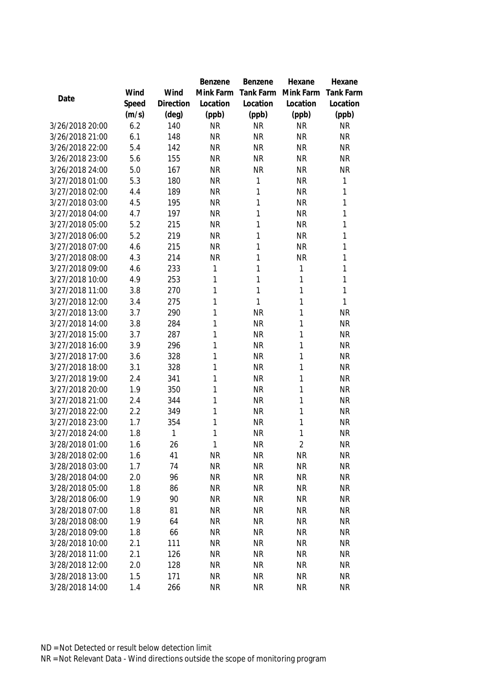|                                    |            |            | Benzene                | Benzene                | Hexane                 | Hexane                 |
|------------------------------------|------------|------------|------------------------|------------------------|------------------------|------------------------|
|                                    | Wind       | Wind       | Mink Farm              | Tank Farm              | Mink Farm              | <b>Tank Farm</b>       |
| Date                               | Speed      | Direction  | Location               | Location               | Location               | Location               |
|                                    | (m/s)      | (deg)      | (ppb)                  | (ppb)                  | (ppb)                  | (ppb)                  |
| 3/26/2018 20:00                    | 6.2        | 140        | <b>NR</b>              | <b>NR</b>              | <b>NR</b>              | <b>NR</b>              |
| 3/26/2018 21:00                    | 6.1        | 148        | <b>NR</b>              | <b>NR</b>              | <b>NR</b>              | <b>NR</b>              |
| 3/26/2018 22:00                    | 5.4        | 142        | <b>NR</b>              | <b>NR</b>              | <b>NR</b>              | <b>NR</b>              |
| 3/26/2018 23:00                    | 5.6        | 155        | <b>NR</b>              | <b>NR</b>              | <b>NR</b>              | <b>NR</b>              |
| 3/26/2018 24:00                    | 5.0        | 167        | <b>NR</b>              | <b>NR</b>              | <b>NR</b>              | <b>NR</b>              |
| 3/27/2018 01:00                    | 5.3        | 180        | <b>NR</b>              | 1                      | <b>NR</b>              | 1                      |
| 3/27/2018 02:00                    | 4.4        | 189        | <b>NR</b>              | 1                      | <b>NR</b>              | 1                      |
| 3/27/2018 03:00                    | 4.5        | 195        | <b>NR</b>              | 1                      | <b>NR</b>              | 1                      |
| 3/27/2018 04:00                    | 4.7        | 197        | <b>NR</b>              | 1                      | <b>NR</b>              | 1                      |
| 3/27/2018 05:00                    | 5.2        | 215        | <b>NR</b>              | 1                      | <b>NR</b>              | 1                      |
| 3/27/2018 06:00                    | 5.2        | 219        | <b>NR</b>              | 1                      | <b>NR</b>              | 1                      |
| 3/27/2018 07:00                    | 4.6        | 215        | <b>NR</b>              | 1                      | <b>NR</b>              | 1                      |
| 3/27/2018 08:00                    | 4.3        | 214        | <b>NR</b>              | 1                      | <b>NR</b>              | 1                      |
| 3/27/2018 09:00                    | 4.6        | 233        | 1                      | 1                      | 1                      | 1                      |
| 3/27/2018 10:00                    | 4.9        | 253        | 1                      | $\mathbf{1}$           | 1                      | 1                      |
| 3/27/2018 11:00                    | 3.8        | 270        | 1                      | 1                      | 1                      | 1                      |
| 3/27/2018 12:00                    | 3.4        | 275        | 1                      | $\mathbf{1}$           | 1                      | 1                      |
| 3/27/2018 13:00                    | 3.7        | 290        | 1                      | <b>NR</b>              | 1                      | <b>NR</b>              |
| 3/27/2018 14:00                    | 3.8        | 284        | 1                      | <b>NR</b>              | 1                      | <b>NR</b>              |
| 3/27/2018 15:00                    | 3.7        | 287        | 1                      | <b>NR</b>              | 1                      | <b>NR</b>              |
| 3/27/2018 16:00                    | 3.9        | 296        | 1                      | <b>NR</b>              | 1                      | <b>NR</b>              |
| 3/27/2018 17:00                    | 3.6        | 328        | 1                      | <b>NR</b>              | 1                      | <b>NR</b>              |
| 3/27/2018 18:00                    | 3.1        | 328        | 1                      | <b>NR</b>              | 1                      | <b>NR</b>              |
| 3/27/2018 19:00                    | 2.4        | 341        | 1                      | <b>NR</b>              | 1                      | <b>NR</b>              |
| 3/27/2018 20:00                    | 1.9        | 350        | 1                      | <b>NR</b>              | 1                      | <b>NR</b>              |
| 3/27/2018 21:00                    | 2.4        | 344        | 1                      | <b>NR</b>              | 1                      | <b>NR</b>              |
| 3/27/2018 22:00                    | 2.2        | 349        | 1                      | <b>NR</b>              | 1                      | <b>NR</b>              |
| 3/27/2018 23:00                    | 1.7        | 354        | 1                      | <b>NR</b>              | 1                      | <b>NR</b>              |
| 3/27/2018 24:00                    | 1.8        | 1          | 1                      | <b>NR</b>              | 1                      | <b>NR</b>              |
| 3/28/2018 01:00                    | 1.6        | 26         | 1                      | <b>NR</b>              | $\overline{2}$         | <b>NR</b>              |
| 3/28/2018 02:00                    | 1.6        | 41         | <b>NR</b>              | <b>NR</b>              | <b>NR</b>              | <b>NR</b>              |
| 3/28/2018 03:00                    | 1.7        | 74         | <b>NR</b>              | <b>NR</b>              | <b>NR</b>              | <b>NR</b>              |
| 3/28/2018 04:00                    | 2.0        | 96         | <b>NR</b>              | <b>NR</b>              | <b>NR</b>              | <b>NR</b>              |
| 3/28/2018 05:00                    | 1.8        | 86         | <b>NR</b>              | <b>NR</b>              | <b>NR</b>              | <b>NR</b>              |
| 3/28/2018 06:00                    | 1.9        | 90         | <b>NR</b>              | <b>NR</b>              | <b>NR</b>              | <b>NR</b>              |
| 3/28/2018 07:00                    | 1.8<br>1.9 | 81         | <b>NR</b><br><b>NR</b> | <b>NR</b><br><b>NR</b> | <b>NR</b>              | <b>NR</b>              |
| 3/28/2018 08:00<br>3/28/2018 09:00 |            | 64         |                        | <b>NR</b>              | <b>NR</b>              | <b>NR</b><br><b>NR</b> |
| 3/28/2018 10:00                    | 1.8        | 66         | <b>NR</b>              |                        | <b>NR</b>              |                        |
| 3/28/2018 11:00                    | 2.1<br>2.1 | 111<br>126 | <b>NR</b><br><b>NR</b> | <b>NR</b><br><b>NR</b> | <b>NR</b><br><b>NR</b> | <b>NR</b><br><b>NR</b> |
| 3/28/2018 12:00                    | 2.0        | 128        | <b>NR</b>              | <b>NR</b>              | <b>NR</b>              | <b>NR</b>              |
| 3/28/2018 13:00                    | 1.5        | 171        | <b>NR</b>              | <b>NR</b>              | <b>NR</b>              | <b>NR</b>              |
| 3/28/2018 14:00                    |            | 266        | <b>NR</b>              | <b>NR</b>              | <b>NR</b>              | <b>NR</b>              |
|                                    | 1.4        |            |                        |                        |                        |                        |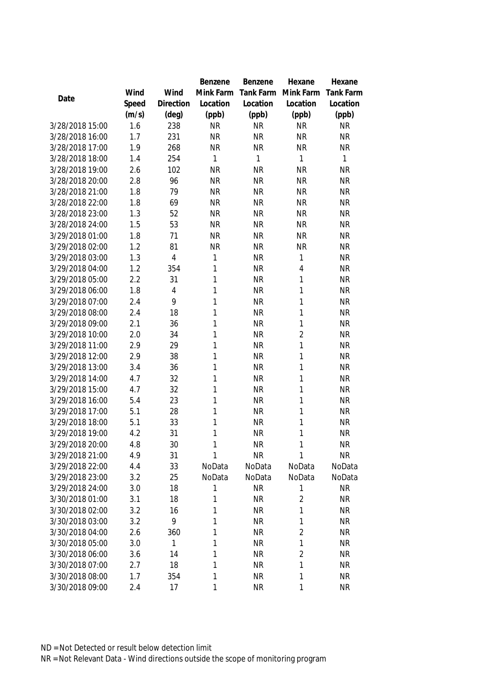|                                    |            |                | Benzene      | Benzene          | Hexane           | Hexane           |
|------------------------------------|------------|----------------|--------------|------------------|------------------|------------------|
|                                    | Wind       | Wind           | Mink Farm    | Tank Farm        | Mink Farm        | Tank Farm        |
| Date                               | Speed      | Direction      | Location     | Location         | Location         | Location         |
|                                    | (m/s)      | $(\text{deg})$ | (ppb)        | (ppb)            | (ppb)            | (ppb)            |
| 3/28/2018 15:00                    | 1.6        | 238            | <b>NR</b>    | <b>NR</b>        | <b>NR</b>        | <b>NR</b>        |
| 3/28/2018 16:00                    | 1.7        | 231            | <b>NR</b>    | <b>NR</b>        | <b>NR</b>        | <b>NR</b>        |
| 3/28/2018 17:00                    | 1.9        | 268            | <b>NR</b>    | <b>NR</b>        | <b>NR</b>        | <b>NR</b>        |
| 3/28/2018 18:00                    | 1.4        | 254            | 1            | $\mathbf{1}$     | 1                | $\mathbf{1}$     |
| 3/28/2018 19:00                    | 2.6        | 102            | <b>NR</b>    | <b>NR</b>        | <b>NR</b>        | <b>NR</b>        |
| 3/28/2018 20:00                    | 2.8        | 96             | <b>NR</b>    | <b>NR</b>        | <b>NR</b>        | <b>NR</b>        |
| 3/28/2018 21:00                    | 1.8        | 79             | <b>NR</b>    | <b>NR</b>        | <b>NR</b>        | <b>NR</b>        |
| 3/28/2018 22:00                    | 1.8        | 69             | <b>NR</b>    | <b>NR</b>        | <b>NR</b>        | <b>NR</b>        |
| 3/28/2018 23:00                    | 1.3        | 52             | <b>NR</b>    | <b>NR</b>        | <b>NR</b>        | <b>NR</b>        |
| 3/28/2018 24:00                    | 1.5        | 53             | <b>NR</b>    | <b>NR</b>        | <b>NR</b>        | <b>NR</b>        |
| 3/29/2018 01:00                    | 1.8        | 71             | <b>NR</b>    | <b>NR</b>        | <b>NR</b>        | <b>NR</b>        |
| 3/29/2018 02:00                    | 1.2        | 81             | <b>NR</b>    | <b>NR</b>        | <b>NR</b>        | <b>NR</b>        |
| 3/29/2018 03:00                    | 1.3        | $\overline{4}$ | 1            | <b>NR</b>        | 1                | <b>NR</b>        |
| 3/29/2018 04:00                    | 1.2        | 354            | 1            | <b>NR</b>        | 4                | <b>NR</b>        |
| 3/29/2018 05:00                    | 2.2        | 31             | 1            | <b>NR</b>        | 1                | <b>NR</b>        |
| 3/29/2018 06:00                    | 1.8        | 4              | 1            | <b>NR</b>        | 1                | <b>NR</b>        |
| 3/29/2018 07:00                    | 2.4        | 9              | $\mathbf{1}$ | <b>NR</b>        | 1                | <b>NR</b>        |
| 3/29/2018 08:00                    | 2.4        | 18             | 1            | <b>NR</b>        | 1                | <b>NR</b>        |
| 3/29/2018 09:00                    | 2.1        | 36             | 1            | <b>NR</b>        | 1                | <b>NR</b>        |
| 3/29/2018 10:00                    | 2.0        | 34             | 1            | <b>NR</b>        | $\overline{2}$   | <b>NR</b>        |
| 3/29/2018 11:00                    | 2.9        | 29             | 1            | <b>NR</b>        | 1                | <b>NR</b>        |
| 3/29/2018 12:00                    | 2.9        | 38             | 1            | <b>NR</b>        | 1                | <b>NR</b>        |
| 3/29/2018 13:00                    | 3.4        | 36             | 1            | <b>NR</b>        | 1                | <b>NR</b>        |
| 3/29/2018 14:00                    | 4.7        | 32             | 1            | <b>NR</b>        | 1                | <b>NR</b>        |
| 3/29/2018 15:00                    | 4.7        | 32             | 1            | <b>NR</b>        | 1                | <b>NR</b>        |
| 3/29/2018 16:00                    | 5.4        | 23             | 1            | <b>NR</b>        | 1                | <b>NR</b>        |
| 3/29/2018 17:00                    | 5.1        | 28             | 1            | <b>NR</b>        | 1                | <b>NR</b>        |
| 3/29/2018 18:00                    | 5.1        | 33             | 1            | <b>NR</b>        | 1                | <b>NR</b>        |
| 3/29/2018 19:00                    | 4.2        | 31             | 1            | <b>NR</b>        | 1                | <b>NR</b>        |
| 3/29/2018 20:00                    | 4.8        | 30             | 1            | <b>NR</b>        | 1                | <b>NR</b>        |
| 3/29/2018 21:00<br>3/29/2018 22:00 | 4.9<br>4.4 | 31             | 1<br>NoData  | <b>NR</b>        | 1                | <b>NR</b>        |
| 3/29/2018 23:00                    | 3.2        | 33<br>25       | NoData       | NoData<br>NoData | NoData<br>NoData | NoData<br>NoData |
| 3/29/2018 24:00                    | 3.0        | 18             | 1            | <b>NR</b>        | 1                | <b>NR</b>        |
| 3/30/2018 01:00                    | 3.1        | 18             | 1            | <b>NR</b>        | $\overline{2}$   | <b>NR</b>        |
| 3/30/2018 02:00                    | 3.2        | 16             | 1            | <b>NR</b>        | 1                | <b>NR</b>        |
| 3/30/2018 03:00                    | 3.2        | 9              | 1            | <b>NR</b>        | 1                | <b>NR</b>        |
| 3/30/2018 04:00                    | 2.6        | 360            | 1            | <b>NR</b>        | $\overline{2}$   | <b>NR</b>        |
| 3/30/2018 05:00                    | 3.0        | 1              | 1            | <b>NR</b>        | 1                | <b>NR</b>        |
| 3/30/2018 06:00                    | 3.6        | 14             | 1            | <b>NR</b>        | $\overline{2}$   | <b>NR</b>        |
| 3/30/2018 07:00                    | 2.7        | 18             | 1            | <b>NR</b>        | 1                | <b>NR</b>        |
| 3/30/2018 08:00                    | 1.7        | 354            | 1            | <b>NR</b>        | 1                | <b>NR</b>        |
| 3/30/2018 09:00                    | 2.4        | 17             | 1            | <b>NR</b>        | 1                | <b>NR</b>        |
|                                    |            |                |              |                  |                  |                  |